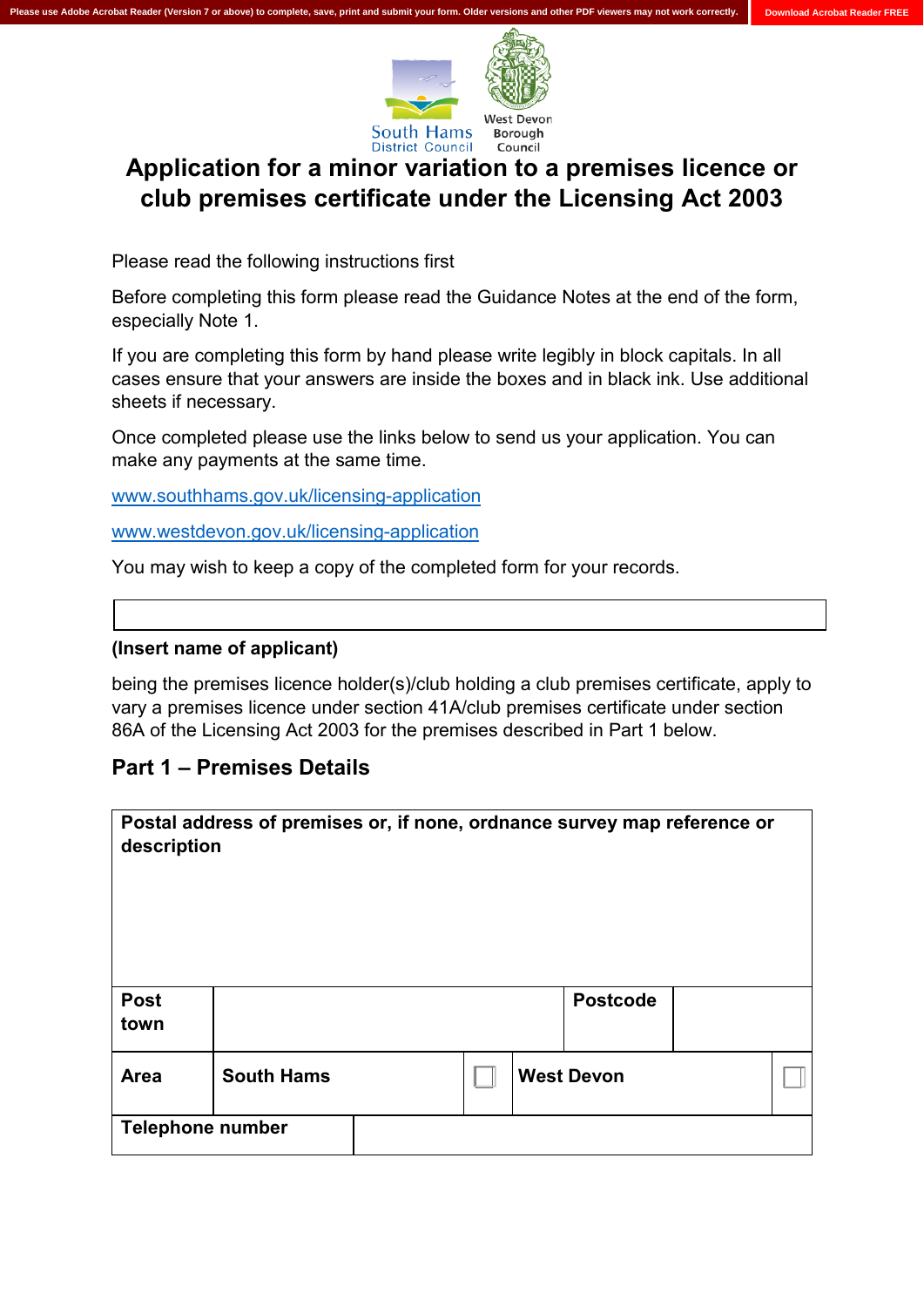

# **Application for a minor variation to a premises licence or club premises certificate under the Licensing Act 2003**

Please read the following instructions first

 Before completing this form please read the Guidance Notes at the end of the form, especially Note 1.

 If you are completing this form by hand please write legibly in block capitals. In all cases ensure that your answers are inside the boxes and in black ink. Use additional sheets if necessary.

 Once completed please use the links below to send us your application. You can make any payments at the same time.

www.southhams.gov.uk/licensing-application

www.westdevon.gov.uk/licensing-application

<u>www.westdevon.gov.uk/licensing-application</u><br>You may wish to keep a copy of the completed form for your records.

#### **(Insert name of applicant)**

 being the premises licence holder(s)/club holding a club premises certificate, apply to vary a premises licence under section 41A/club premises certificate under section 86A of the Licensing Act 2003 for the premises described in Part 1 below.

#### **Part 1 – Premises Details**

| description             | Postal address of premises or, if none, ordnance survey map reference or |  |                   |  |
|-------------------------|--------------------------------------------------------------------------|--|-------------------|--|
| <b>Post</b><br>town     |                                                                          |  | <b>Postcode</b>   |  |
| Area                    | <b>South Hams</b>                                                        |  | <b>West Devon</b> |  |
| <b>Telephone number</b> |                                                                          |  |                   |  |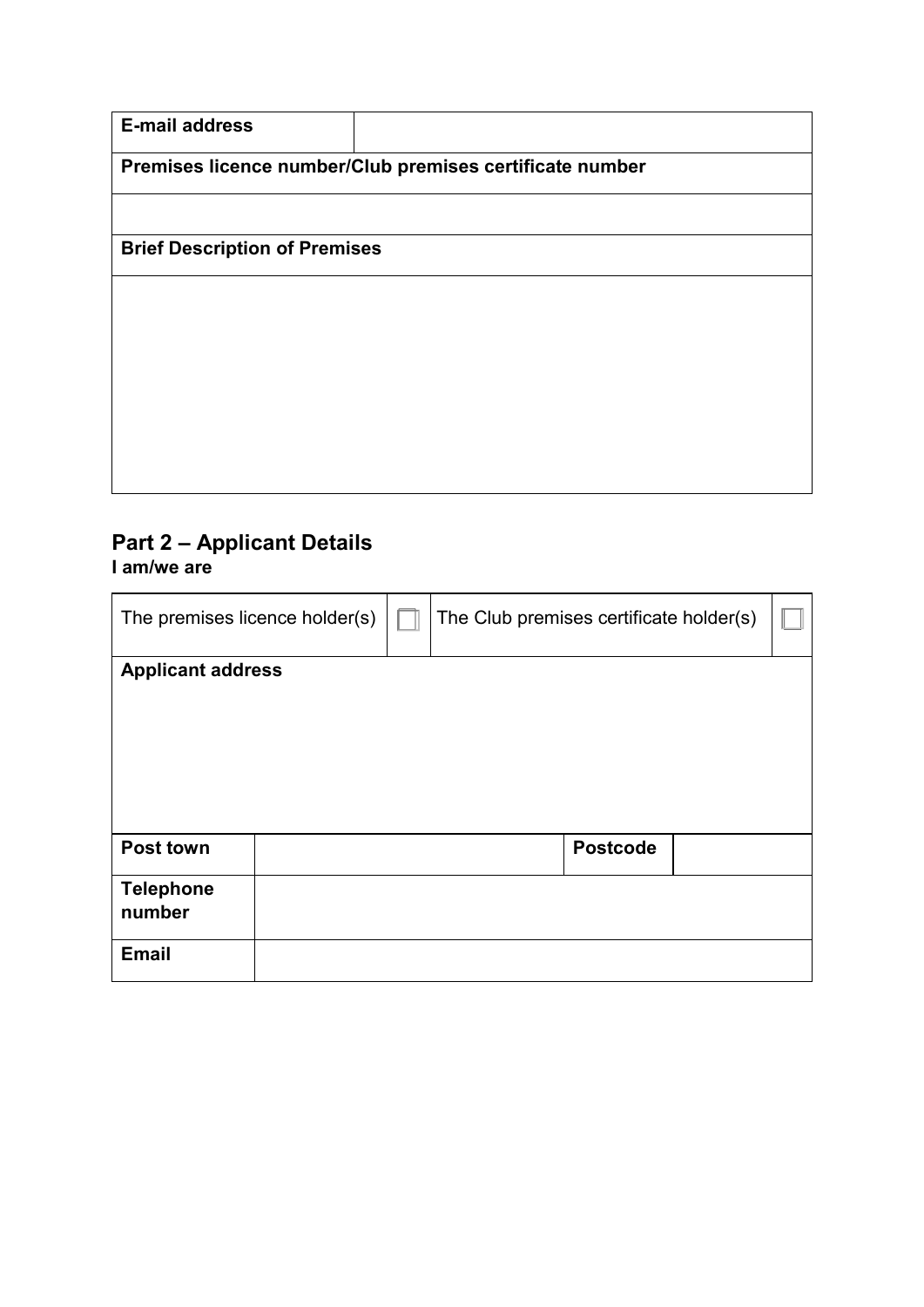| <b>E-mail address</b>                |                                                          |  |
|--------------------------------------|----------------------------------------------------------|--|
|                                      | Premises licence number/Club premises certificate number |  |
|                                      |                                                          |  |
| <b>Brief Description of Premises</b> |                                                          |  |
|                                      |                                                          |  |
|                                      |                                                          |  |
|                                      |                                                          |  |
|                                      |                                                          |  |
|                                      |                                                          |  |
|                                      |                                                          |  |

### **Part 2 – Applicant Details I am/we are**

| The premises licence holder(s) |  | The Club premises certificate holder(s) |  |
|--------------------------------|--|-----------------------------------------|--|
| <b>Applicant address</b>       |  |                                         |  |
|                                |  |                                         |  |
|                                |  |                                         |  |
|                                |  |                                         |  |
|                                |  |                                         |  |
|                                |  |                                         |  |
|                                |  |                                         |  |
| Post town                      |  | <b>Postcode</b>                         |  |
|                                |  |                                         |  |
| <b>Telephone</b>               |  |                                         |  |
| number                         |  |                                         |  |
|                                |  |                                         |  |
| <b>Email</b>                   |  |                                         |  |
|                                |  |                                         |  |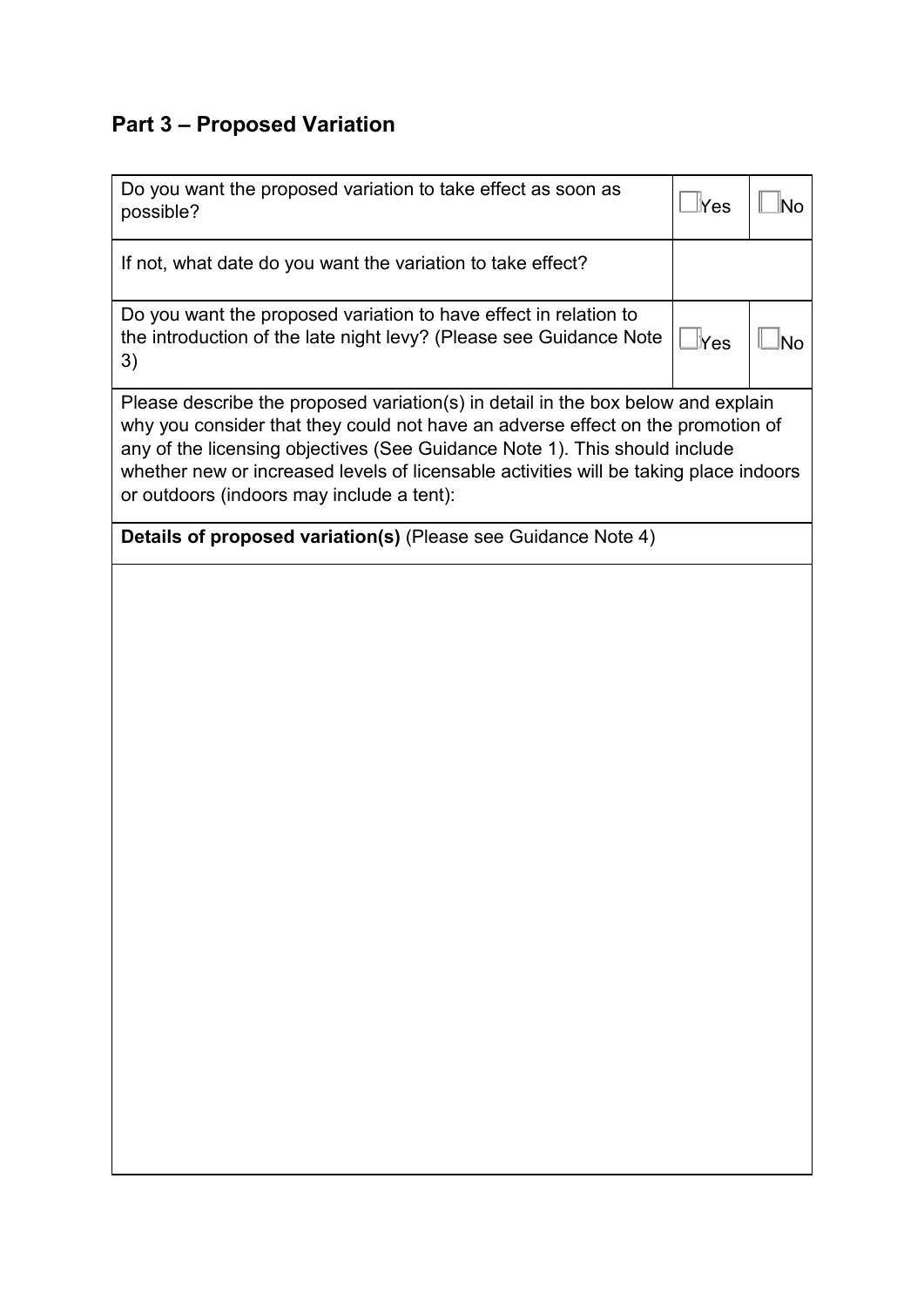# **Part 3 – Proposed Variation**

| Do you want the proposed variation to take effect as soon as<br>possible?                                                                                                                                                                                                                                                                                                               | lYes             | lNo |  |  |
|-----------------------------------------------------------------------------------------------------------------------------------------------------------------------------------------------------------------------------------------------------------------------------------------------------------------------------------------------------------------------------------------|------------------|-----|--|--|
| If not, what date do you want the variation to take effect?                                                                                                                                                                                                                                                                                                                             |                  |     |  |  |
| Do you want the proposed variation to have effect in relation to<br>the introduction of the late night levy? (Please see Guidance Note<br>3)                                                                                                                                                                                                                                            | $\mathbb{L}$ Yes | lNo |  |  |
| Please describe the proposed variation(s) in detail in the box below and explain<br>why you consider that they could not have an adverse effect on the promotion of<br>any of the licensing objectives (See Guidance Note 1). This should include<br>whether new or increased levels of licensable activities will be taking place indoors<br>or outdoors (indoors may include a tent): |                  |     |  |  |
| Details of proposed variation(s) (Please see Guidance Note 4)                                                                                                                                                                                                                                                                                                                           |                  |     |  |  |
|                                                                                                                                                                                                                                                                                                                                                                                         |                  |     |  |  |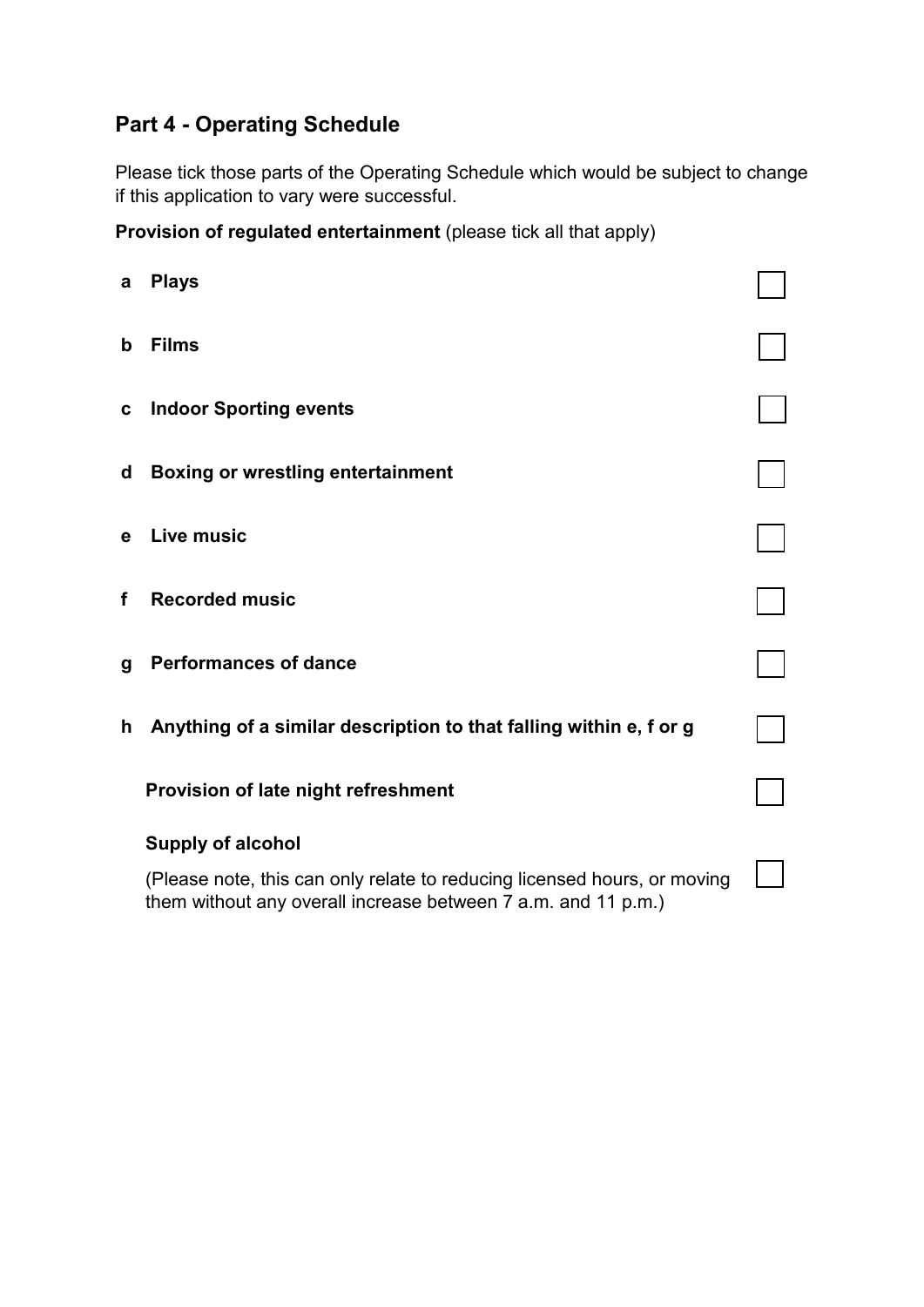## **Part 4 - Operating Schedule**

 Please tick those parts of the Operating Schedule which would be subject to change if this application to vary were successful.

 **Provision of regulated entertainment** (please tick all that apply)

| a  | <b>Plays</b>                                                                                                                              |  |
|----|-------------------------------------------------------------------------------------------------------------------------------------------|--|
| b  | <b>Films</b>                                                                                                                              |  |
| C  | <b>Indoor Sporting events</b>                                                                                                             |  |
| d  | <b>Boxing or wrestling entertainment</b>                                                                                                  |  |
| e  | <b>Live music</b>                                                                                                                         |  |
| f  | <b>Recorded music</b>                                                                                                                     |  |
| g  | <b>Performances of dance</b>                                                                                                              |  |
| h. | Anything of a similar description to that falling within e, f or g                                                                        |  |
|    | Provision of late night refreshment                                                                                                       |  |
|    | <b>Supply of alcohol</b>                                                                                                                  |  |
|    | (Please note, this can only relate to reducing licensed hours, or moving<br>them without any overall increase between 7 a.m. and 11 p.m.) |  |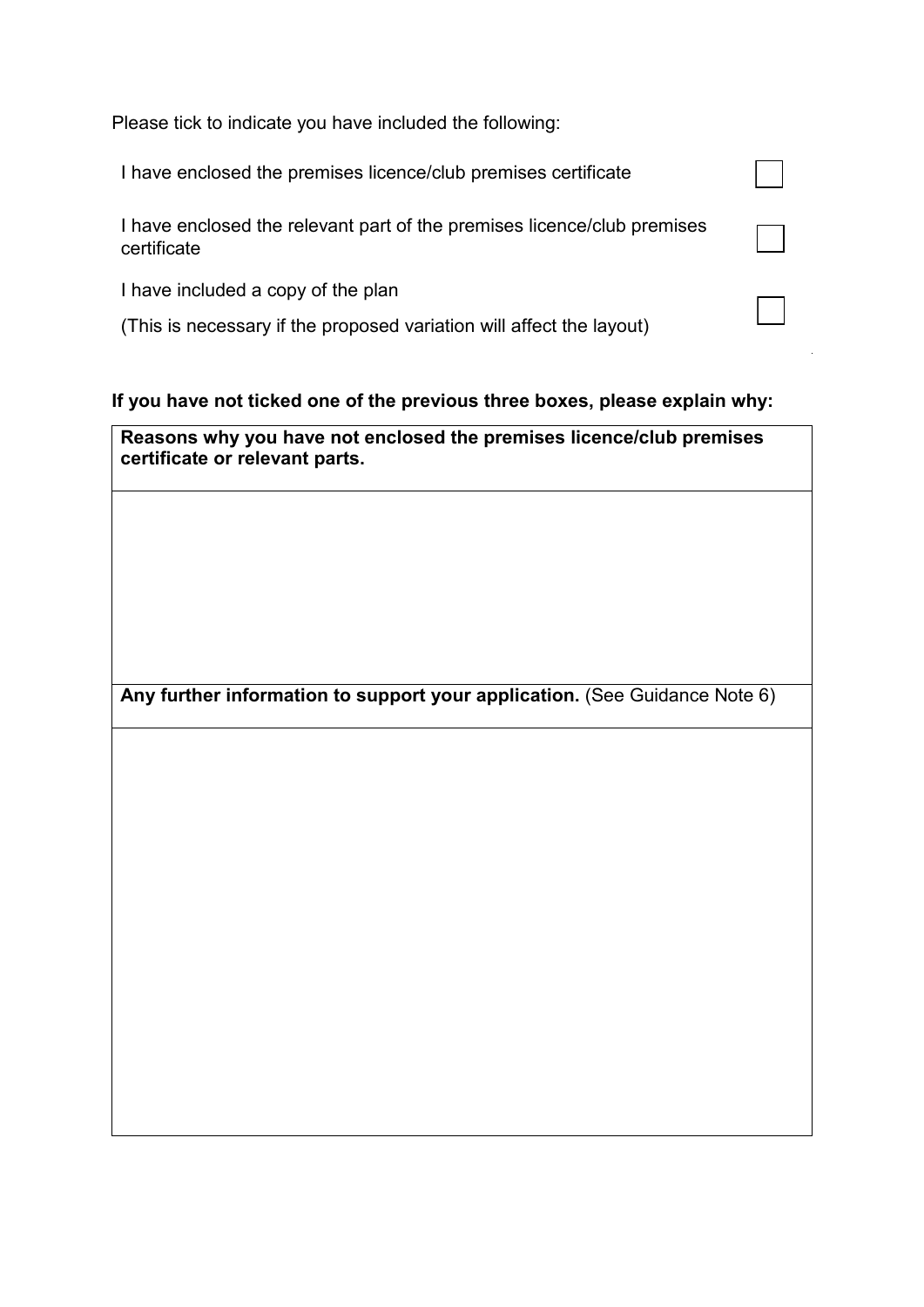Please tick to indicate you have included the following:

| I have enclosed the premises licence/club premises certificate                         |  |
|----------------------------------------------------------------------------------------|--|
| I have enclosed the relevant part of the premises licence/club premises<br>certificate |  |
| I have included a copy of the plan                                                     |  |
| (This is necessary if the proposed variation will affect the layout)                   |  |

### **If you have not ticked one of the previous three boxes, please explain why:**

 **certificate or relevant parts. Reasons why you have not enclosed the premises licence/club premises** 

Any further information to support your application. (See Guidance Note 6)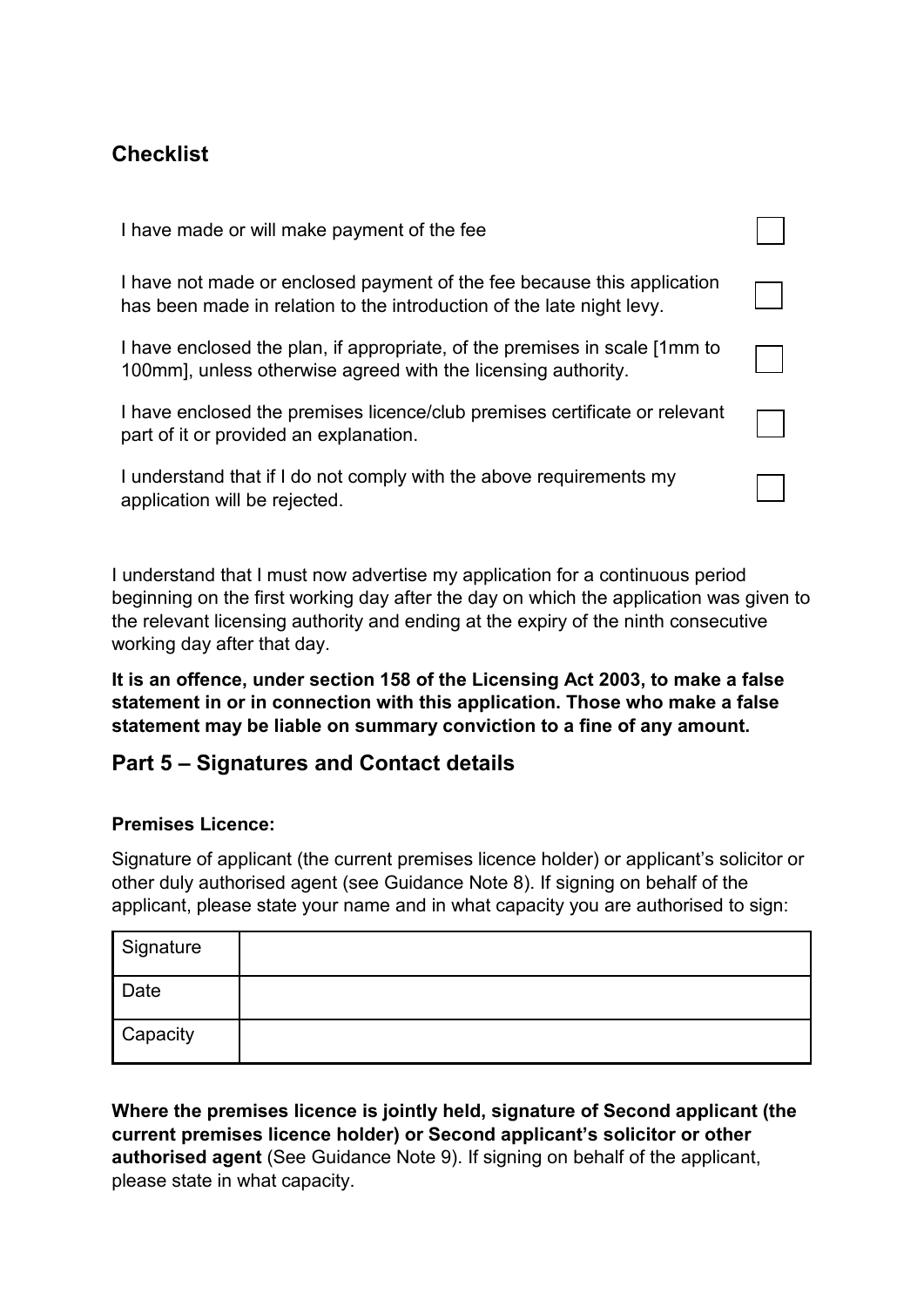## **Checklist**

| I have made or will make payment of the fee                                                                                                      |  |
|--------------------------------------------------------------------------------------------------------------------------------------------------|--|
| I have not made or enclosed payment of the fee because this application<br>has been made in relation to the introduction of the late night levy. |  |
| I have enclosed the plan, if appropriate, of the premises in scale [1mm to<br>100mm], unless otherwise agreed with the licensing authority.      |  |
| I have enclosed the premises licence/club premises certificate or relevant<br>part of it or provided an explanation.                             |  |
| I understand that if I do not comply with the above requirements my<br>application will be rejected.                                             |  |

 I understand that I must now advertise my application for a continuous period beginning on the first working day after the day on which the application was given to the relevant licensing authority and ending at the expiry of the ninth consecutive working day after that day.

**It is an offence, under section 158 of the Licensing Act 2003, to make a false statement in or in connection with this application. Those who make a false statement may be liable on summary conviction to a fine of any amount.** 

## **Part 5 – Signatures and Contact details**

### **Premises Licence:**

 Signature of applicant (the current premises licence holder) or applicant's solicitor or other duly authorised agent (see Guidance Note 8). If signing on behalf of the applicant, please state your name and in what capacity you are authorised to sign:

| Signature |  |
|-----------|--|
| Date      |  |
| Capacity  |  |

 **Where the premises licence is jointly held, signature of Second applicant (the current premises licence holder) or Second applicant's solicitor or other authorised agent** (See Guidance Note 9). If signing on behalf of the applicant, please state in what capacity.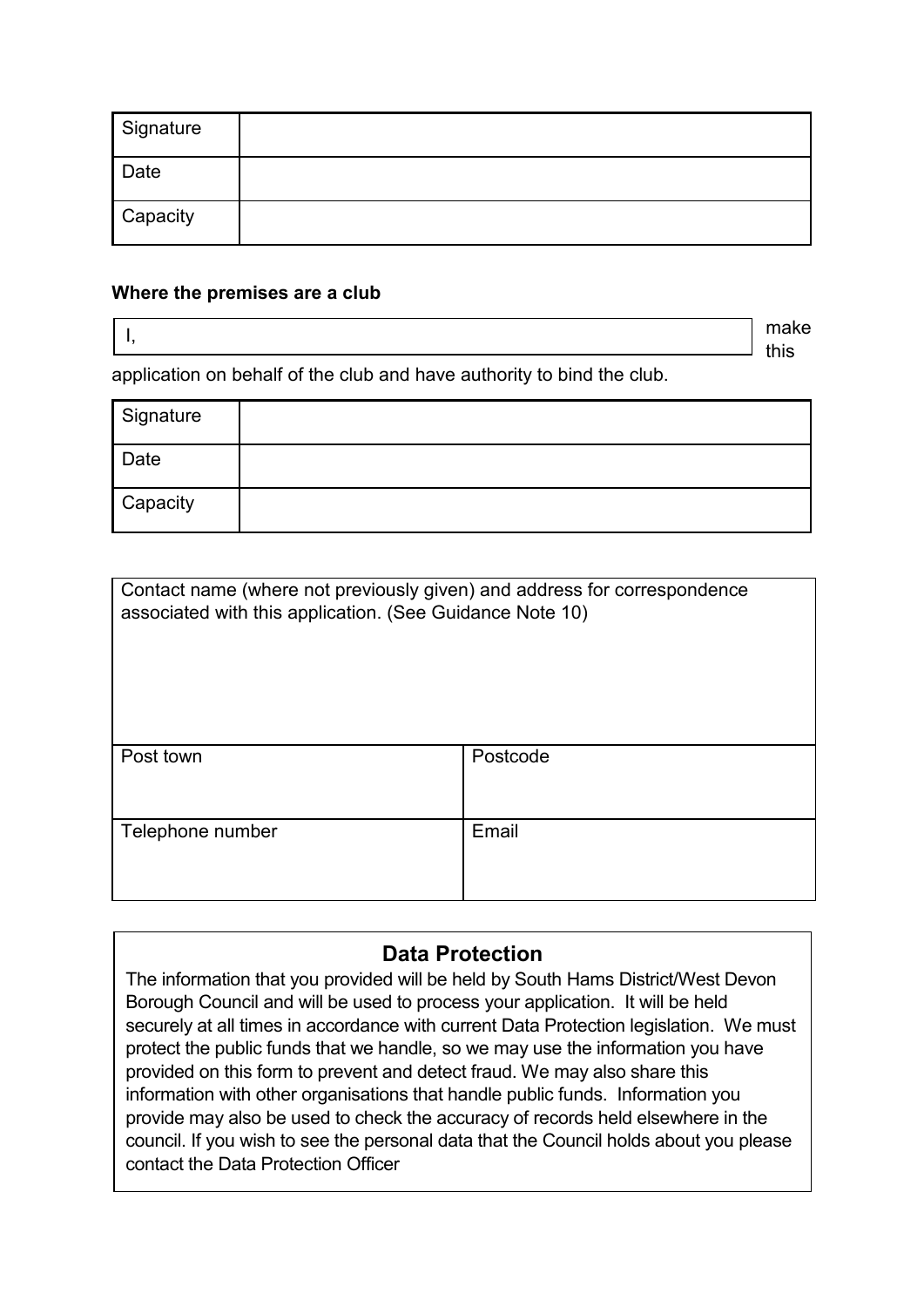| Signature |  |
|-----------|--|
| Date      |  |
| Capacity  |  |

#### **Where the premises are a club**

 $\begin{array}{ccc} \textsf{I}, & \hspace{3.5cm} & \textsf{make} \end{array}$ 

application on behalf of the club and have authority to bind the club.

| Signature |  |
|-----------|--|
| Date      |  |
| Capacity  |  |

| Contact name (where not previously given) and address for correspondence<br>associated with this application. (See Guidance Note 10) |          |  |
|--------------------------------------------------------------------------------------------------------------------------------------|----------|--|
| Post town                                                                                                                            | Postcode |  |
| Telephone number                                                                                                                     | Email    |  |

### **Data Protection**

 securely at all times in accordance with current Data Protection legislation. We must protect the public funds that we handle, so we may use the information you have The information that you provided will be held by South Hams District/West Devon Borough Council and will be used to process your application. It will be held provided on this form to prevent and detect fraud. We may also share this information with other organisations that handle public funds. Information you provide may also be used to check the accuracy of records held elsewhere in the council. If you wish to see the personal data that the Council holds about you please contact the Data Protection Officer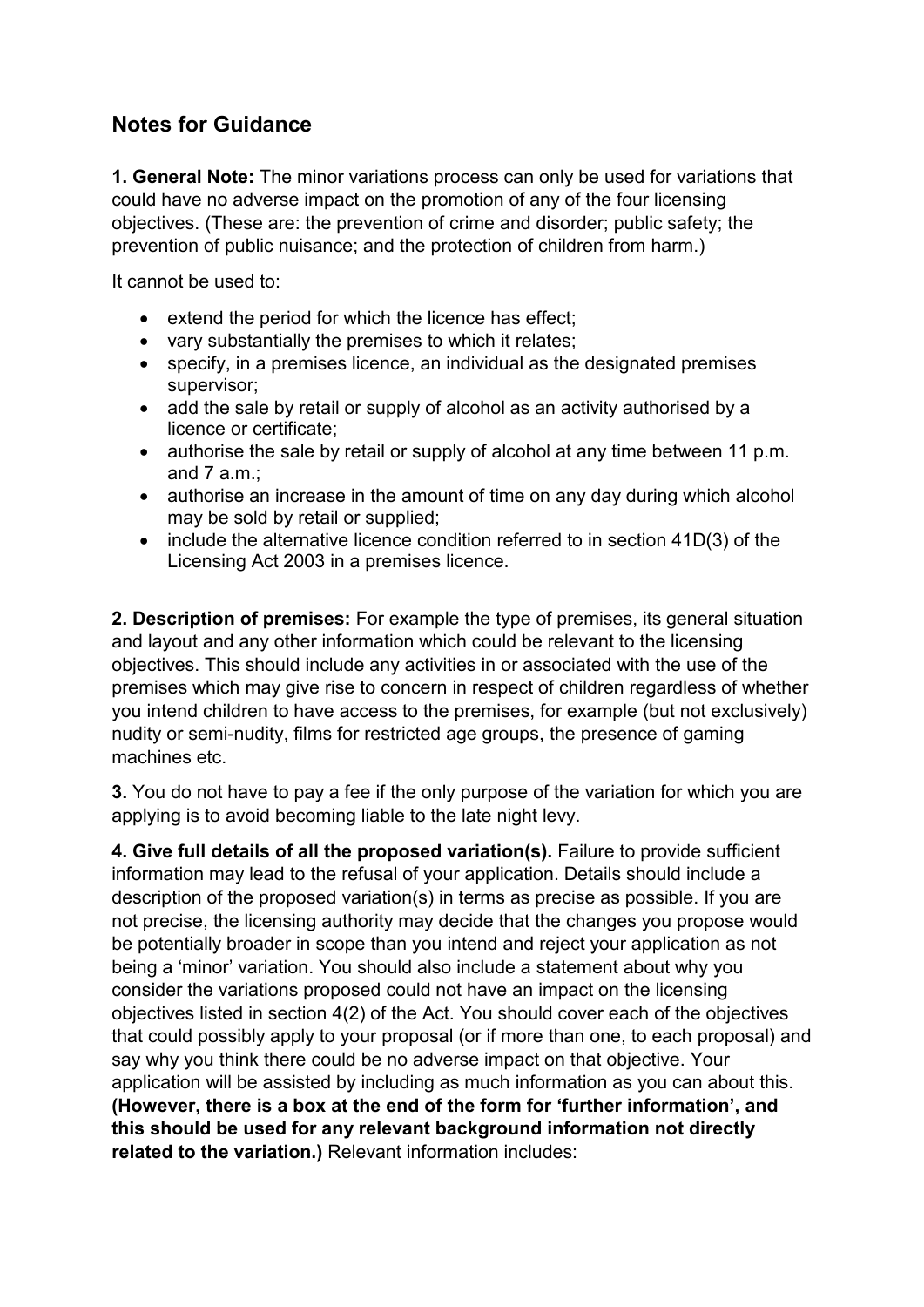# **Notes for Guidance**

 **1. General Note:** The minor variations process can only be used for variations that could have no adverse impact on the promotion of any of the four licensing objectives. (These are: the prevention of crime and disorder; public safety; the prevention of public nuisance; and the protection of children from harm.)

It cannot be used to:

- extend the period for which the licence has effect;
- vary substantially the premises to which it relates;
- • specify, in a premises licence, an individual as the designated premises supervisor;
- • add the sale by retail or supply of alcohol as an activity authorised by a licence or certificate;
- and 7 a.m.; • authorise the sale by retail or supply of alcohol at any time between 11 p.m.
- • authorise an increase in the amount of time on any day during which alcohol may be sold by retail or supplied;
- • include the alternative licence condition referred to in section 41D(3) of the Licensing Act 2003 in a premises licence.

 **2. Description of premises:** For example the type of premises, its general situation and layout and any other information which could be relevant to the licensing objectives. This should include any activities in or associated with the use of the premises which may give rise to concern in respect of children regardless of whether you intend children to have access to the premises, for example (but not exclusively) nudity or semi-nudity, films for restricted age groups, the presence of gaming machines etc.

**3.** You do not have to pay a fee if the only purpose of the variation for which you are applying is to avoid becoming liable to the late night levy.

 **4. Give full details of all the proposed variation(s).** Failure to provide sufficient information may lead to the refusal of your application. Details should include a description of the proposed variation(s) in terms as precise as possible. If you are not precise, the licensing authority may decide that the changes you propose would be potentially broader in scope than you intend and reject your application as not being a 'minor' variation. You should also include a statement about why you consider the variations proposed could not have an impact on the licensing objectives listed in section 4(2) of the Act. You should cover each of the objectives that could possibly apply to your proposal (or if more than one, to each proposal) and say why you think there could be no adverse impact on that objective. Your application will be assisted by including as much information as you can about this.  **(However, there is a box at the end of the form for 'further information', and this should be used for any relevant background information not directly related to the variation.)** Relevant information includes: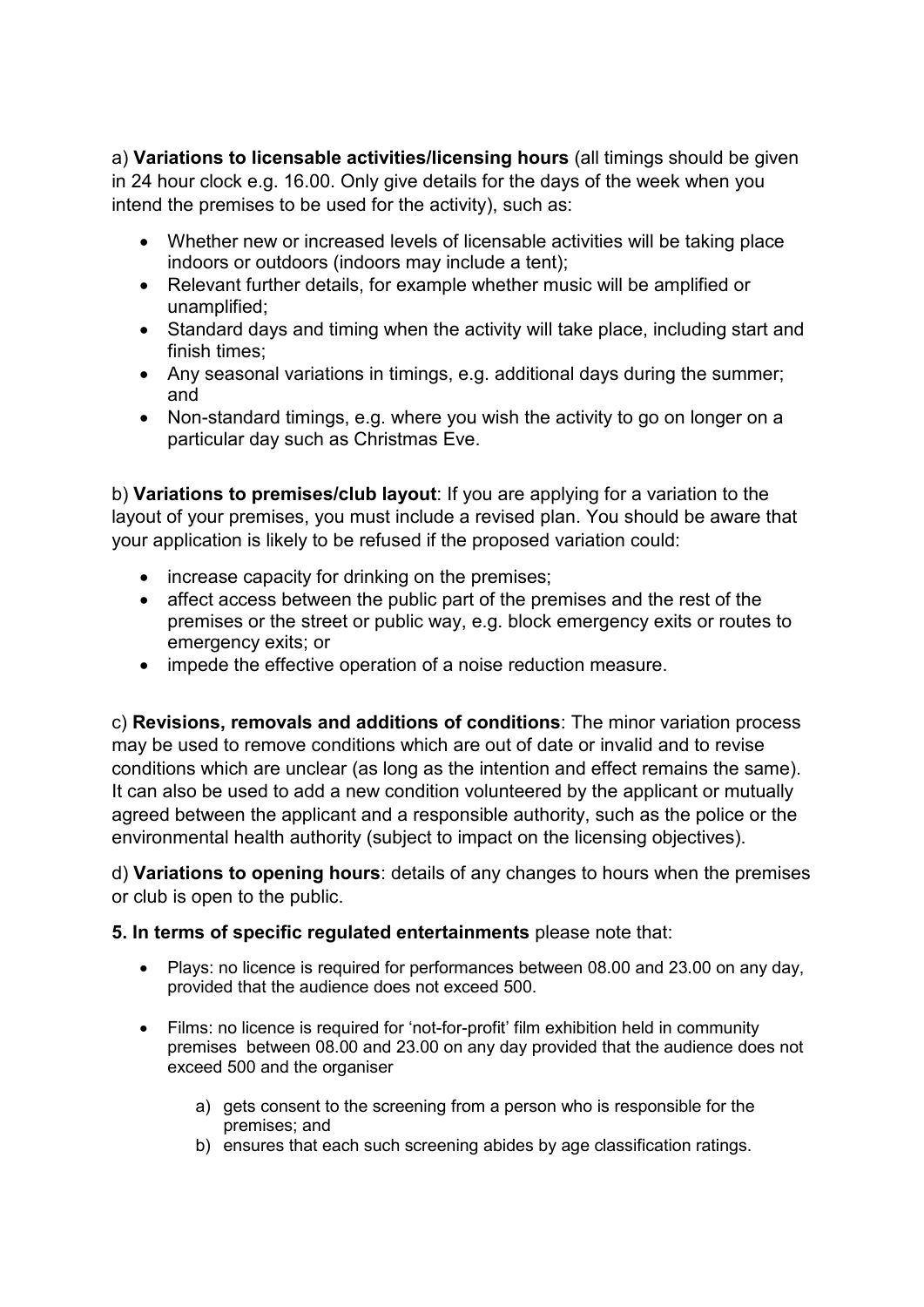a) **Variations to licensable activities/licensing hours** (all timings should be given in 24 hour clock e.g. 16.00. Only give details for the days of the week when you intend the premises to be used for the activity), such as:

- • Whether new or increased levels of licensable activities will be taking place indoors or outdoors (indoors may include a tent);
- • Relevant further details, for example whether music will be amplified or unamplified;
- • Standard days and timing when the activity will take place, including start and finish times;
- • Any seasonal variations in timings, e.g. additional days during the summer; and
- • Non-standard timings, e.g. where you wish the activity to go on longer on a particular day such as Christmas Eve.

 b) **Variations to premises/club layout**: If you are applying for a variation to the layout of your premises, you must include a revised plan. You should be aware that your application is likely to be refused if the proposed variation could:

- increase capacity for drinking on the premises;
- • affect access between the public part of the premises and the rest of the premises or the street or public way, e.g. block emergency exits or routes to emergency exits; or
- impede the effective operation of a noise reduction measure.

 c) **Revisions, removals and additions of conditions**: The minor variation process may be used to remove conditions which are out of date or invalid and to revise conditions which are unclear (as long as the intention and effect remains the same). It can also be used to add a new condition volunteered by the applicant or mutually agreed between the applicant and a responsible authority, such as the police or the environmental health authority (subject to impact on the licensing objectives).

 d) **Variations to opening hours**: details of any changes to hours when the premises or club is open to the public.

#### **5. In terms of specific regulated entertainments** please note that:

- $\bullet$ • Plays: no licence is required for performances between 08.00 and 23.00 on any day, provided that the audience does not exceed 500.
- Films: no licence is required for 'not-for-profit' film exhibition held in community premises between 08.00 and 23.00 on any day provided that the audience does not exceed 500 and the organiser
	- a) gets consent to the screening from a person who is responsible for the premises; and
	- b) ensures that each such screening abides by age classification ratings.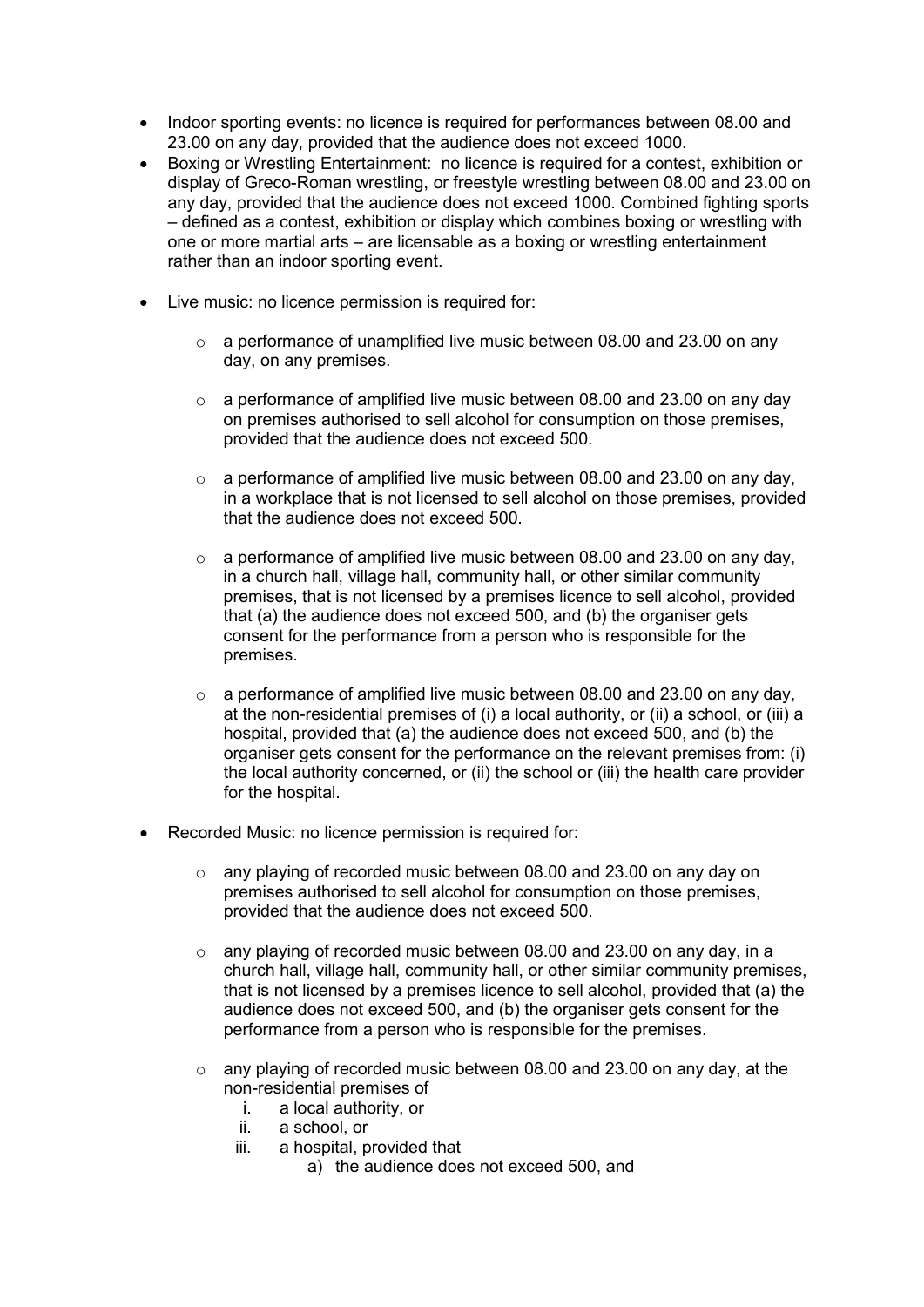- 23.00 on any day, provided that the audience does not exceed 1000. • Indoor sporting events: no licence is required for performances between 08.00 and
- Boxing or Wrestling Entertainment: no licence is required for a contest, exhibition or display of Greco-Roman wrestling, or freestyle wrestling between 08.00 and 23.00 on any day, provided that the audience does not exceed 1000. Combined fighting sports – defined as a contest, exhibition or display which combines boxing or wrestling with one or more martial arts – are licensable as a boxing or wrestling entertainment rather than an indoor sporting event.
- Live music: no licence permission is required for:
	- $\circ$  a performance of unamplified live music between 08.00 and 23.00 on any day, on any premises.
	- $\circ$  a performance of amplified live music between 08.00 and 23.00 on any day on premises authorised to sell alcohol for consumption on those premises, provided that the audience does not exceed 500.
	- $\circ$  a performance of amplified live music between 08.00 and 23.00 on any day, in a workplace that is not licensed to sell alcohol on those premises, provided that the audience does not exceed 500.
	- consent for the performance from a person who is responsible for the  $\circ$  a performance of amplified live music between 08.00 and 23.00 on any day. in a church hall, village hall, community hall, or other similar community premises, that is not licensed by a premises licence to sell alcohol, provided that (a) the audience does not exceed 500, and (b) the organiser gets premises.
	- at the non-residential premises of (i) a local authority, or (ii) a school, or (iii) a organiser gets consent for the performance on the relevant premises from: (i) o a performance of amplified live music between 08.00 and 23.00 on any day, hospital, provided that (a) the audience does not exceed 500, and (b) the the local authority concerned, or (ii) the school or (iii) the health care provider for the hospital.
- Recorded Music: no licence permission is required for:
	- provided that the audience does not exceed 500. o any playing of recorded music between 08.00 and 23.00 on any day on premises authorised to sell alcohol for consumption on those premises,
	- that is not licensed by a premises licence to sell alcohol, provided that (a) the audience does not exceed 500, and (b) the organiser gets consent for the performance from a person who is responsible for the premises.  $\circ$  any playing of recorded music between 08.00 and 23.00 on any day, in a church hall, village hall, community hall, or other similar community premises,
	- $\circ$  any playing of recorded music between 08.00 and 23.00 on any day, at the non-residential premises of
		- i. a local authority, or
		- $\ddot{\mathbf{H}}$ . a school, or
		- iii. a hospital, provided that
			- a) the audience does not exceed 500, and